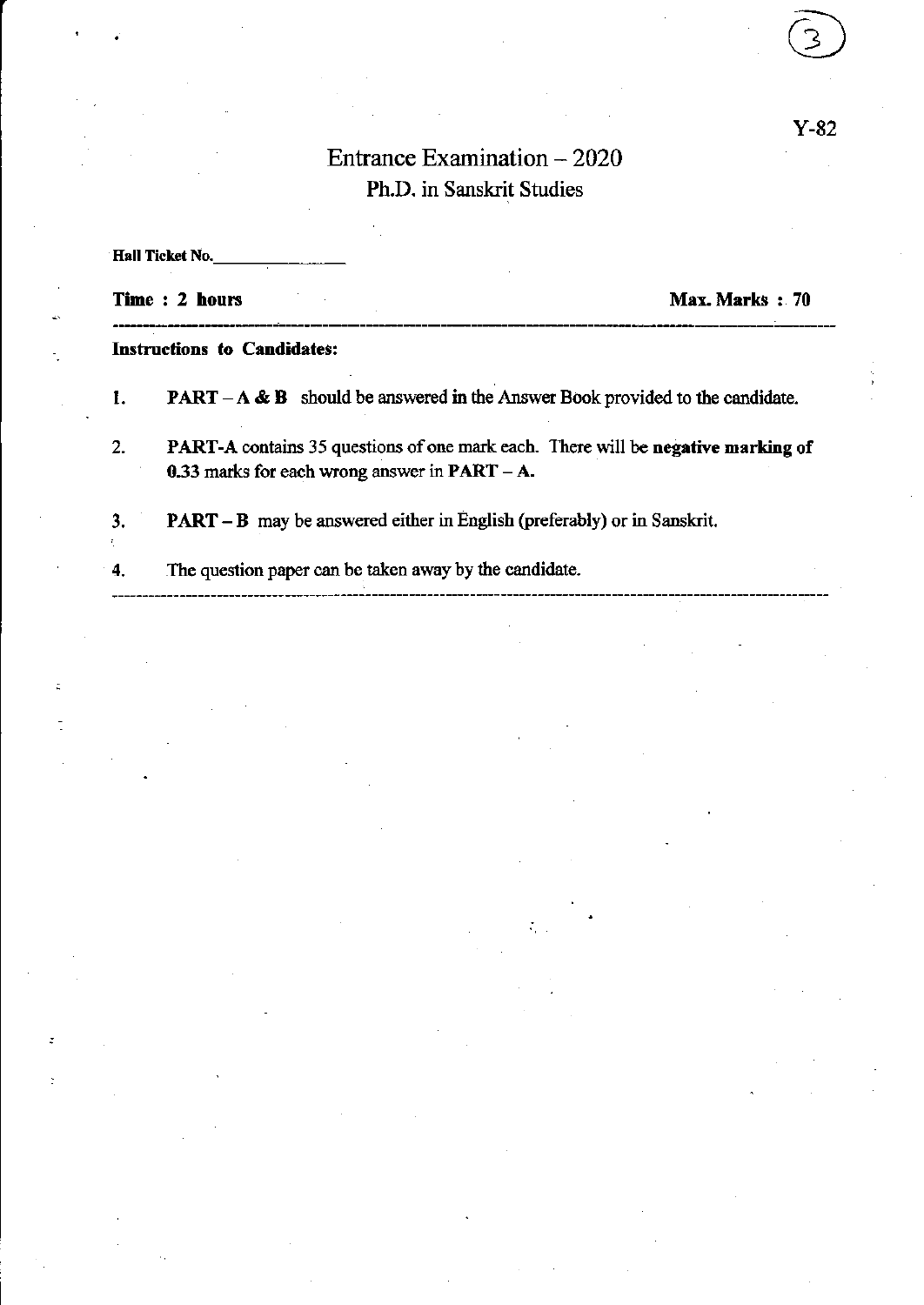# Entrance Examination - 2020 Ph.D. in Sanskrit Studies

 $\hat{\mathcal{F}}_1$ 

| <b>Hall Ticket No.</b>             |                                                                                                                                             |
|------------------------------------|---------------------------------------------------------------------------------------------------------------------------------------------|
|                                    | Time: 2 hours<br>Max. Marks : 70                                                                                                            |
| <b>Instructions to Candidates:</b> |                                                                                                                                             |
| 1.                                 | <b>PART</b> $-A \& B$ should be answered in the Answer Book provided to the candidate.                                                      |
| $\overline{2}$ .                   | <b>PART-A</b> contains 35 questions of one mark each. There will be negative marking of<br>0.33 marks for each wrong answer in $PART - A$ . |
| 3.                                 | <b>PART – B</b> may be answered either in English (preferably) or in Sanskrit.                                                              |
| 4.                                 | The question paper can be taken away by the candidate.                                                                                      |

÷.

.

 $\mathbf{z}$ 

Y-82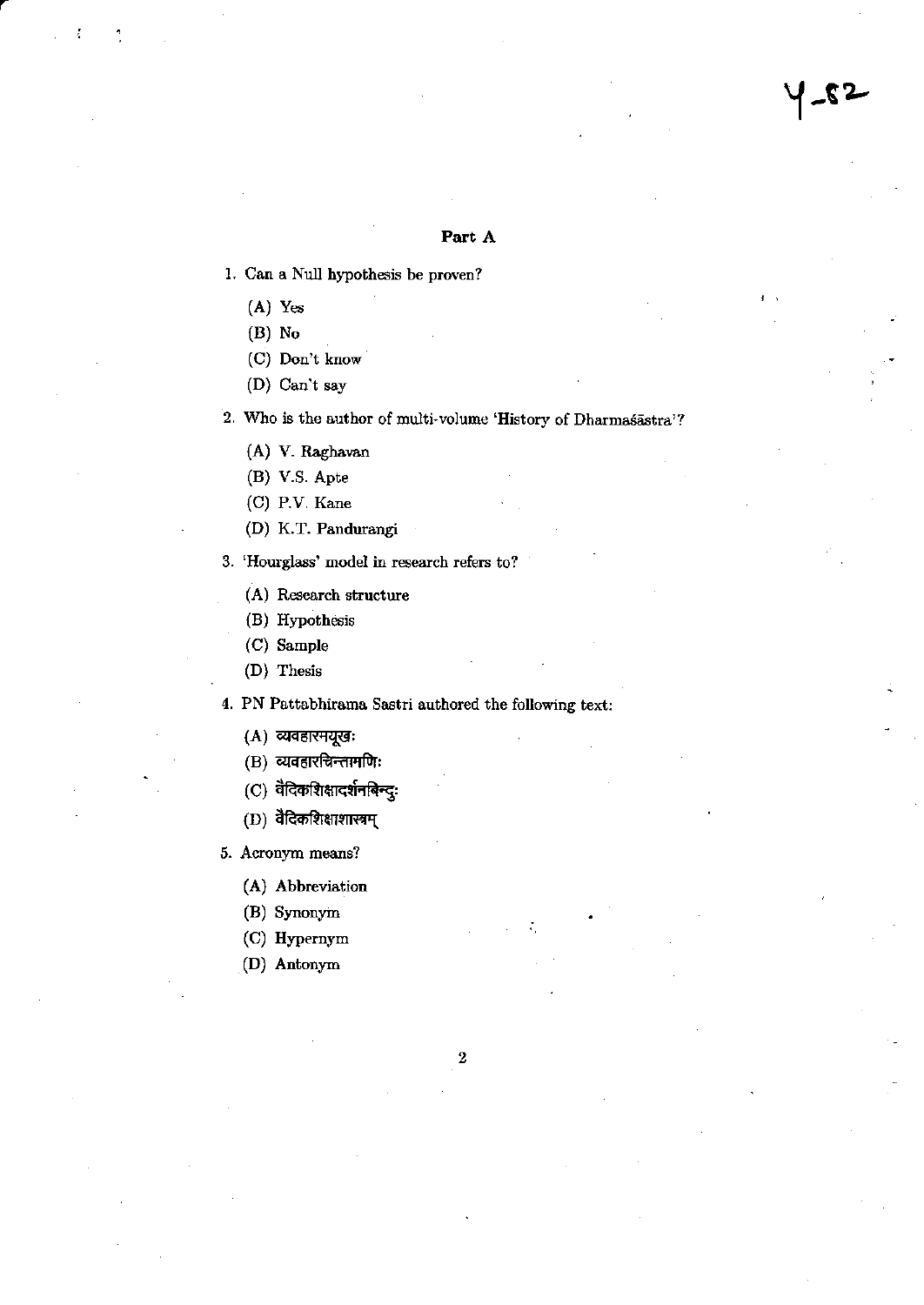#### Part A

- 1. Can a Null hypothesis be proven?
	- $(A)$  Yes
	- $(B)$  No
	- (C) Don't know
	- (D) Can't say
- 2. Who is the author of multi-volume 'History of Dharmasastra'?
	- (A) V. Raghavan
	- (B) V.S. Apte
	- (C) P.V. Kane
	- (D) K.T. Pandurangi
- 3. 'Hourglass' model in research refers to?
	- (A) Research structure
	- (B) Hypothesis
	- (C) Sample
	- (D) Thesis

4. PN Pattabhirama Sastri authored the following text:

- (A) व्यवहारमयूखः
- (B) व्यवहारचिन्तामणिः
- $(C)$ वैदिकशिक्षादर्शनबिन्दुः
- $(D)$  वैदिकशिक्षाशास्त्रम्
- 5. Acronym means?
	- (A) Abbreviation
	- (B) Synonym
	- (C) Hypernym
	- (D) Antonym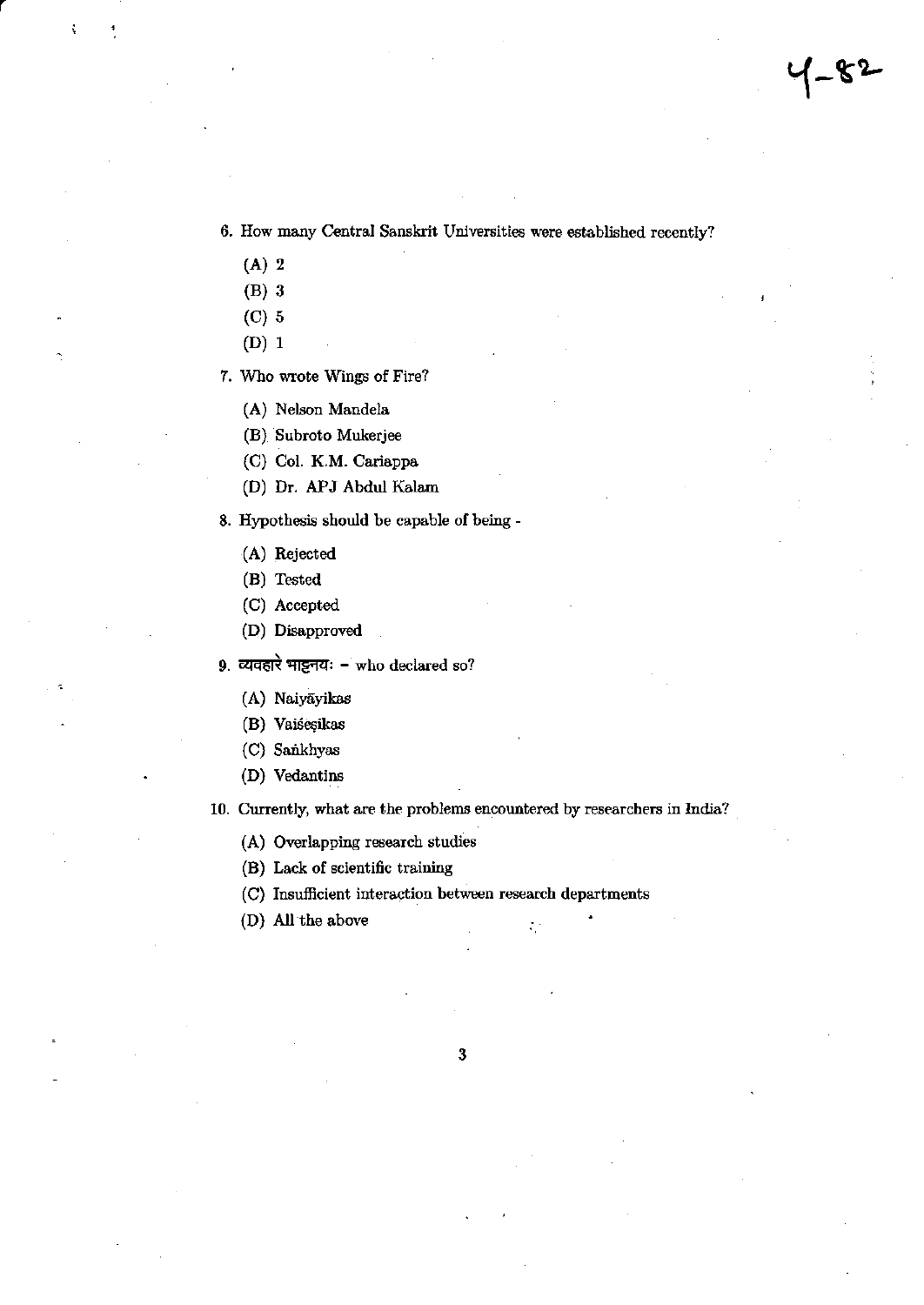6. How many Central Sanskrit Universities were established recently?

- $(A)$  2
- $(B)$  3
- $(C)$  5
- $(D)$  1
- 7. Who wrote Wings of Fire?
	- (A) Nelson Mandela
	- (B) Subroto Mukerjee
	- (C) Col. K.M. Cariappa
	- (D) Dr. APJ Abdul Kalam
- 8. Hypothesis should be capable of being -
	- (A) Rejected
	- (B) Tested
	- (C) Accepted
	- (D) Disapproved
- 9. व्यवहारे भाट्टनयः who declared so?
	- (A) Naiyāyikas
	- (B) Vaiśesikas
	- (C) Sankhyas
	- (D) Vedantins

10. Currently, what are the problems encountered by researchers in India?

 $\zeta^{\pm}$ 

- (A) Overlapping research studies
- (B) Lack of scientific training
- (C) Insufficient interaction between research departments
- (D) All the above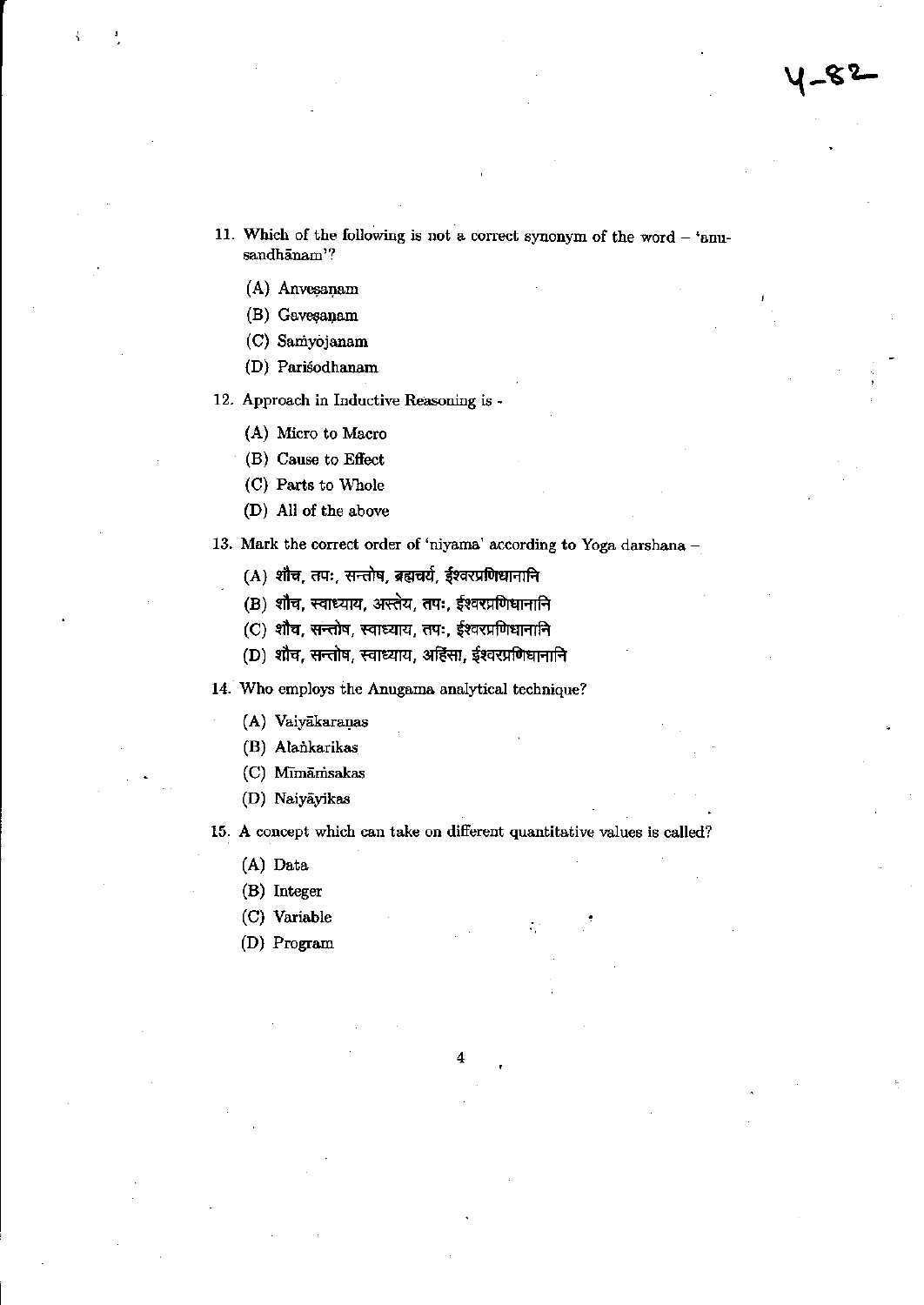11. Which of the following is not a correct synonym of the word - 'anusandhānam'?

- (A) Anvesanam
- (B) Gavesanam
- (C) Samyojanam
- (D) Parisodhanam

12. Approach in Inductive Reasoning is -

- (A) Micro to Macro
- (B) Cause to Effect
- (C) Parts to Whole
- (D) All of the above

13. Mark the correct order of 'niyama' according to Yoga darshana -

- (A) शौच, तपः, सन्तोष, ब्रह्मचर्य, ईश्वरप्रणिधानानि
- (B) शौच, स्वाध्याय, अस्तेय, तपः, ईश्वरप्रणिधानानि
- (C) शौच, सन्तोष, स्वाध्याय, तपः, ईश्वरप्रणिधानानि
- (D) शौच, सन्तोष, स्वाध्याय, अहिंसा, ईश्वरप्रणिधानानि

14. Who employs the Anugama analytical technique?

- (A) Vaiyākaraņas
- (B) Alankarikas
- (C) Mīmāmsakas
- (D) Naiyāyikas

15. A concept which can take on different quantitative values is called?

- (A) Data
- (B) Integer
- (C) Variable
- (D) Program

4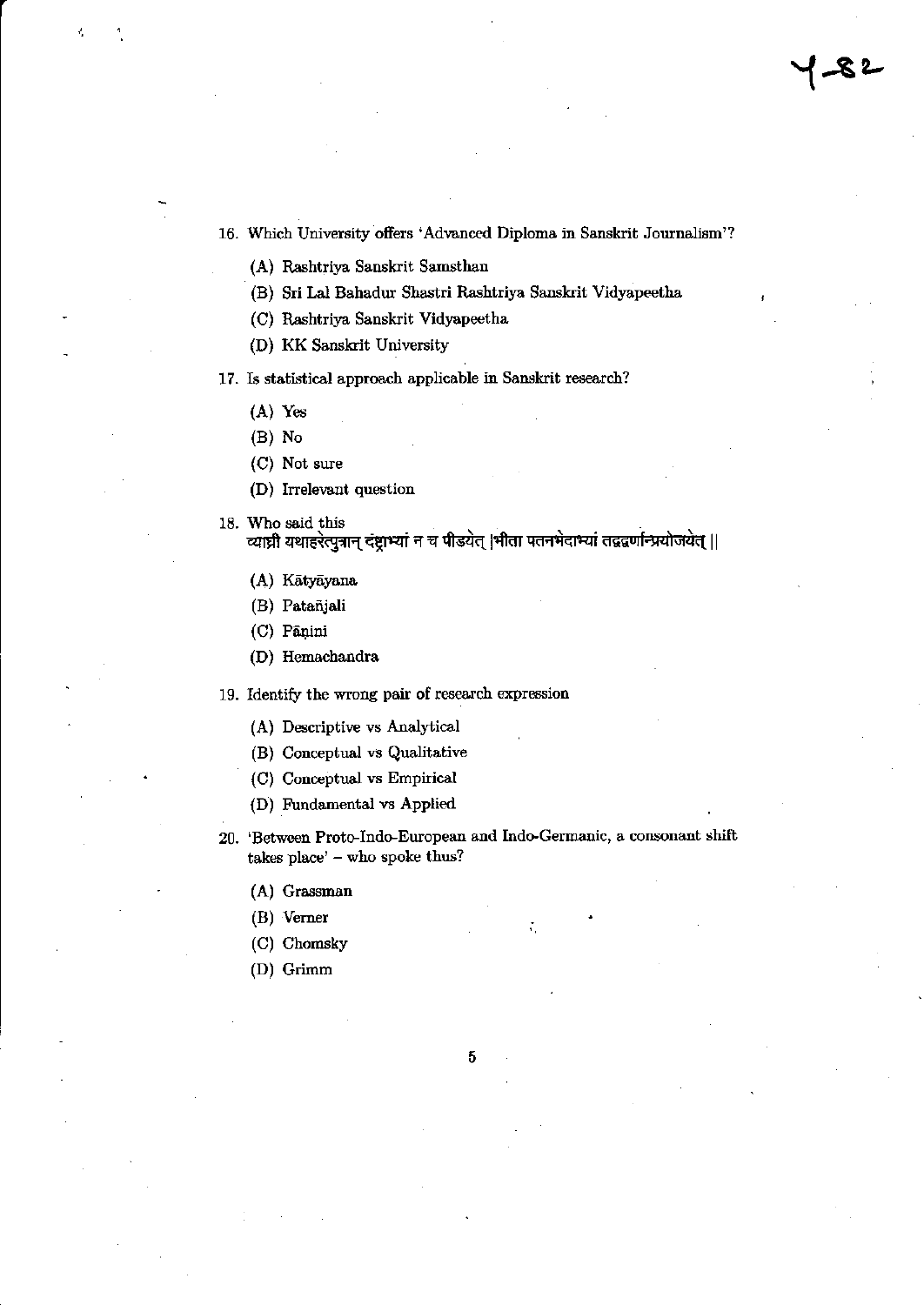16. Which University offers 'Advanced Diploma in Sanskrit Journalism'?

(A) Rashtriya Sanskrit Samsthan

- (B) Sri Lal Bahadur Shastri Rashtriya Sanskrit Vidyapeetha
- (C) Rashtriya Sanskrit Vidyapeetha
- (D) KK Sanskrit University

## 17. Is statistical approach applicable in Sanskrit research?

- $(A)$  Yes
- $(B)$  No
- (C) Not sure
- (D) Irrelevant question
- 18. Who said this

व्याघ्री यथाहरेत्पुत्रान् दंष्ट्राभ्यां न च पीडयेत् |भीता पतनभेदाभ्यां तद्वद्वर्णान्प्रयोजयेत् ||

- (A) Kātyāyana
- (B) Patañjali
- (C) Pāņini
- (D) Hemachandra

19. Identify the wrong pair of research expression

- (A) Descriptive vs Analytical
- (B) Conceptual vs Qualitative
- (C) Conceptual vs Empirical
- (D) Fundamental vs Applied
- 20. 'Between Proto-Indo-European and Indo-Germanic, a consonant shift takes place' - who spoke thus?
	- (A) Grassman
	- $(B)$  Verner
	- (C) Chomsky
	- (D) Grimm

5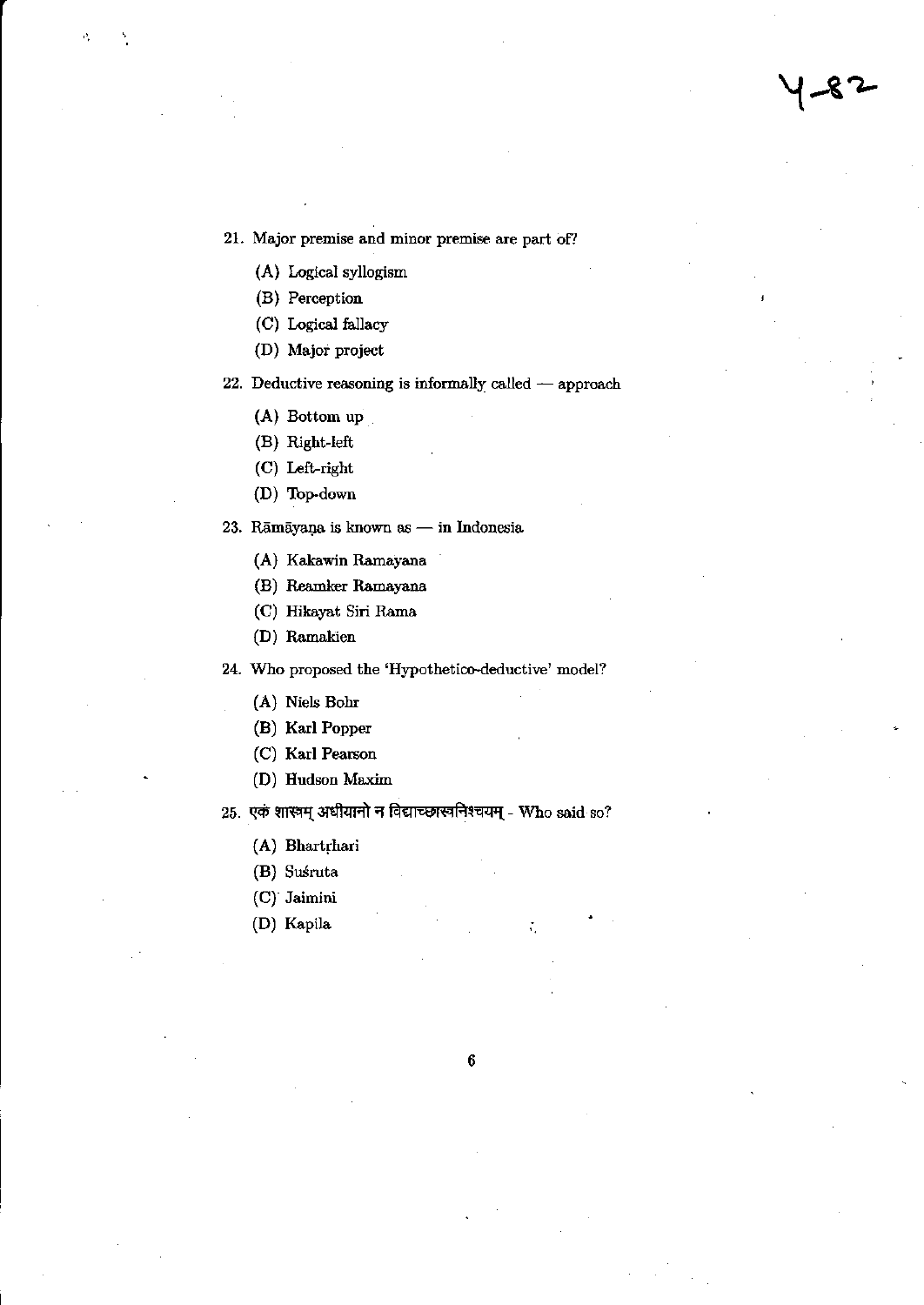21. Major premise and minor premise are part of?

- (A) Logical syllogism
- (B) Perception
- (C) Logical fallacy
- (D) Major project

22. Deductive reasoning is informally called  $-$  approach

(A) Bottom up

(B) Right-left

- (C) Left-right
- (D) Top-down

23. Rāmāyaņa is known as — in Indonesia

- (A) Kakawin Ramayana
- (B) Reamker Ramayana
- (C) Hikayat Siri Rama
- (D) Ramakien

24. Who proposed the 'Hypothetico-deductive' model?

- (A) Niels Bohr
- (B) Karl Popper
- (C) Karl Pearson
- (D) Hudson Maxim

## 25. एकं शास्त्रम् अधीयानो न विद्याच्छास्त्रनिश्चयम् - Who said so?

- (A) Bhartrhari
- (B) Suśruta
- (C) Jaimini
- (D) Kapila

 $\boldsymbol{6}$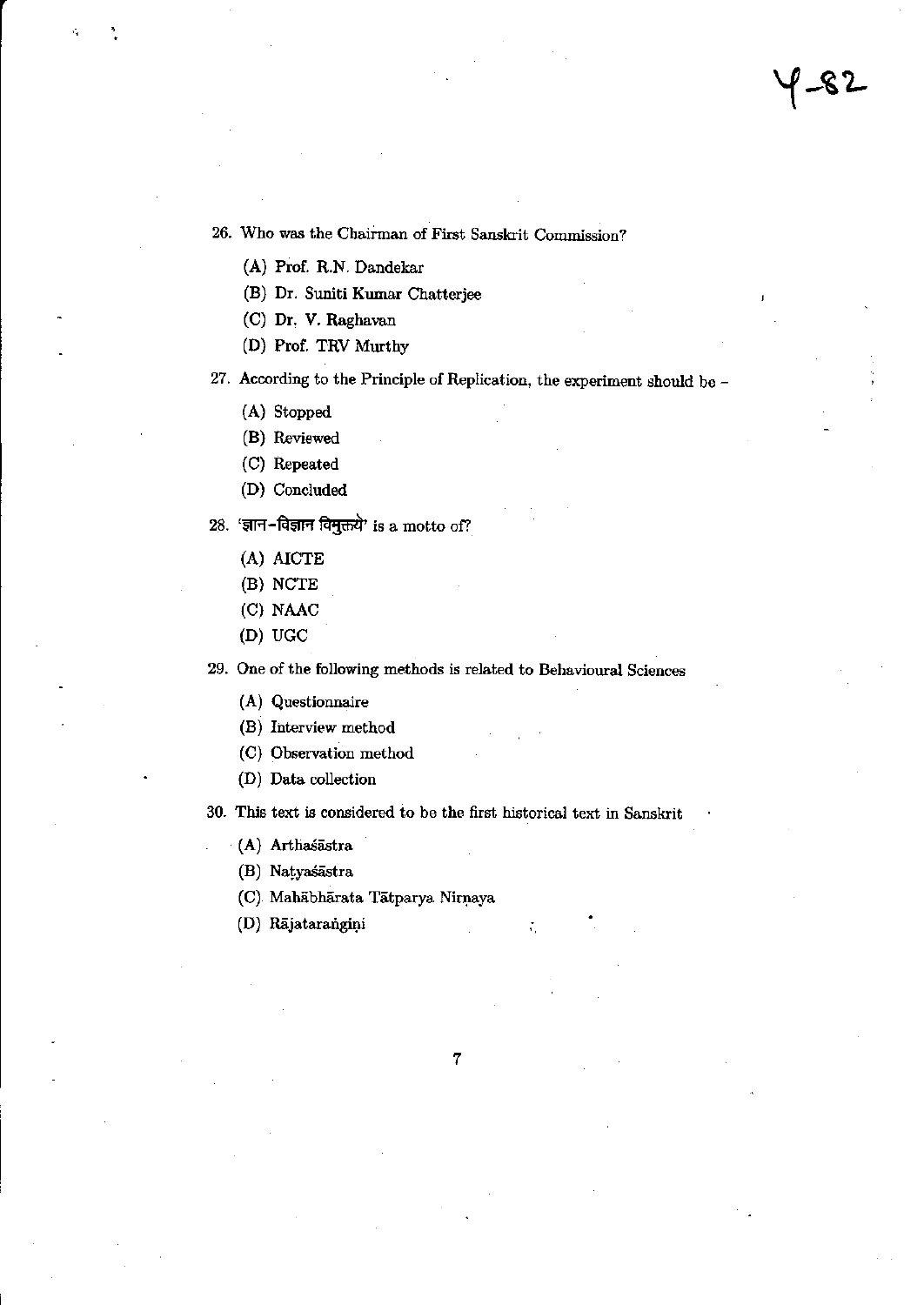y -82

26. Who was the Chairman of First Sanskrit Commission?

(A) Prof. R.N. Dandekar

(B) Dr. Suniti Kumar Chatterjee

(C) Dr. V. Raghavan

(D) Prof. TRV Murthy

27. According to the Principle of Replication, the experiment should be  $-$ 

(A) Stopped

(B) Reviewed

(C) Repeated

(D) Concluded

28. 'ज्ञान-विज्ञान विमुक्तये' is a motto of?

(A) AICTE

(B) NCTE

(C) NAAC

 $(D)$  UGC

29. One of the following methods is related to Behavioural Sciences

(A) Questionnaire

(B) Interview method

(C) Observation method

(D) Data collection

30. This text is considered to be the first historical text in Sanskrit

(A) Arthaśāstra

(B) Natyaśāstra

(C) Mahābhārata Tātparya Nirņaya

(D) Rājatarangiņi

÷.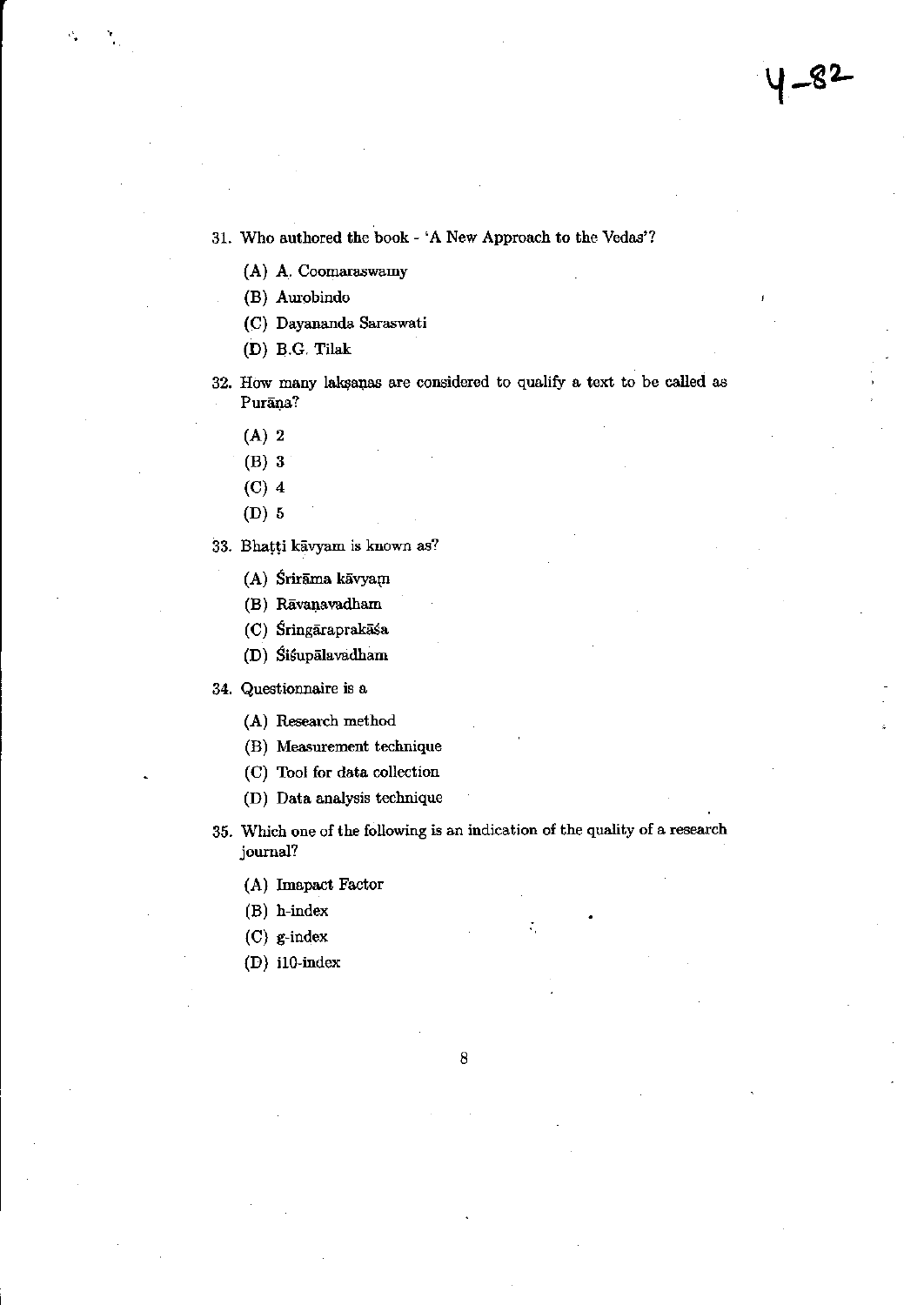31. Who authored the book - 'A New Approach to the Vedas'?

- (A) A. Coomaraswamy
- (B) Aurobindo
- (C) Dayananda Saraswati
- (D) B.G. Tilak
- 32. How many laksanas are considered to qualify a text to be called as Purāņa?
	- $(A)$  2
	- $(B)$  3
	- $(C)$  4
	- $(D)$  5

33. Bhatti kāvyam is known as?

- (A) Śrirāma kāvyam
- (B) Rāvaņavadham
- (C) Śringāraprakāśa
- (D) Siśupālavadham

34. Questionnaire is a

- (A) Research method
- (B) Measurement technique
- (C) Tool for data collection
- (D) Data analysis technique
- 35. Which one of the following is an indication of the quality of a research journal?
	- (A) Imapact Factor
	- (B) h-index
	- $(C)$  g-index
	- $(D)$  il $0$ -index